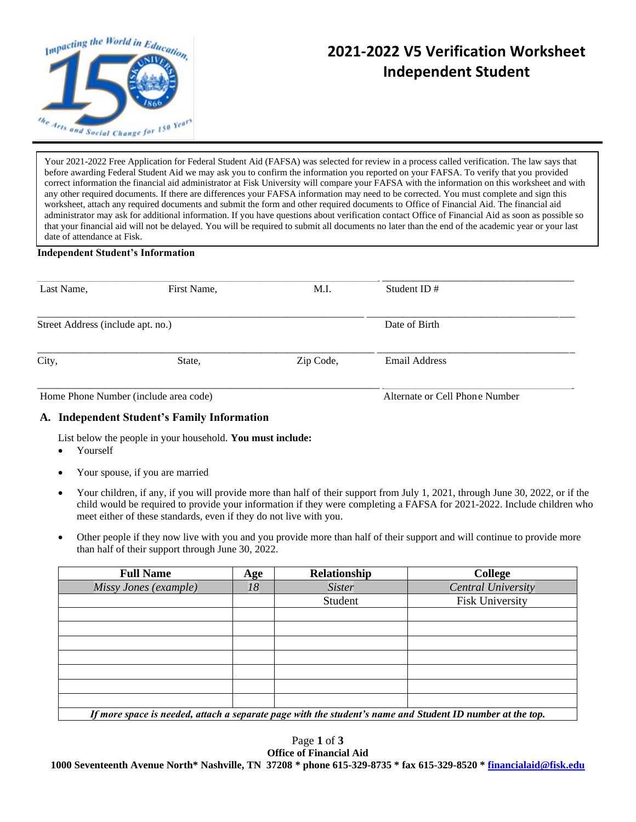

# **2021-2022 V5 Verification Worksheet Independent Student**

Your 2021-2022 Free Application for Federal Student Aid (FAFSA) was selected for review in a process called verification. The law says that before awarding Federal Student Aid we may ask you to confirm the information you reported on your FAFSA. To verify that you provided correct information the financial aid administrator at Fisk University will compare your FAFSA with the information on this worksheet and with any other required documents. If there are differences your FAFSA information may need to be corrected. You must complete and sign this worksheet, attach any required documents and submit the form and other required documents to Office of Financial Aid. The financial aid administrator may ask for additional information. If you have questions about verification contact Office of Financial Aid as soon as possible so that your financial aid will not be delayed. You will be required to submit all documents no later than the end of the academic year or your last date of attendance at Fisk.

#### **Independent Student's Information**

| Last Name,                            | First Name, | M.I.          | Student ID $#$                 |  |
|---------------------------------------|-------------|---------------|--------------------------------|--|
| Street Address (include apt. no.)     |             | Date of Birth |                                |  |
| City,                                 | State,      | Zip Code,     | Email Address                  |  |
| Home Phone Number (include area code) |             |               | Alternate or Cell Phone Number |  |

#### **A. Independent Student's Family Information**

List below the people in your household. **You must include:**

- Yourself
- Your spouse, if you are married
- Your children, if any, if you will provide more than half of their support from July 1, 2021, through June 30, 2022, or if the child would be required to provide your information if they were completing a FAFSA for 2021-2022. Include children who meet either of these standards, even if they do not live with you.
- Other people if they now live with you and you provide more than half of their support and will continue to provide more than half of their support through June 30, 2022.

| <b>Full Name</b>                                                                                          | Age | Relationship  | <b>College</b>            |  |  |
|-----------------------------------------------------------------------------------------------------------|-----|---------------|---------------------------|--|--|
| Missy Jones (example)                                                                                     | 18  | <b>Sister</b> | <b>Central University</b> |  |  |
|                                                                                                           |     | Student       | <b>Fisk University</b>    |  |  |
|                                                                                                           |     |               |                           |  |  |
|                                                                                                           |     |               |                           |  |  |
|                                                                                                           |     |               |                           |  |  |
|                                                                                                           |     |               |                           |  |  |
|                                                                                                           |     |               |                           |  |  |
|                                                                                                           |     |               |                           |  |  |
|                                                                                                           |     |               |                           |  |  |
| If more space is needed, attach a separate page with the student's name and Student ID number at the top. |     |               |                           |  |  |

Page **1** of **3 Office of Financial Aid 1000 Seventeenth Avenue North\* Nashville, TN 37208 \* phone 615-329-8735 \* fax 615-329-8520 [\\* financialaid@fisk.edu](mailto:financialaid@fisk.edu)**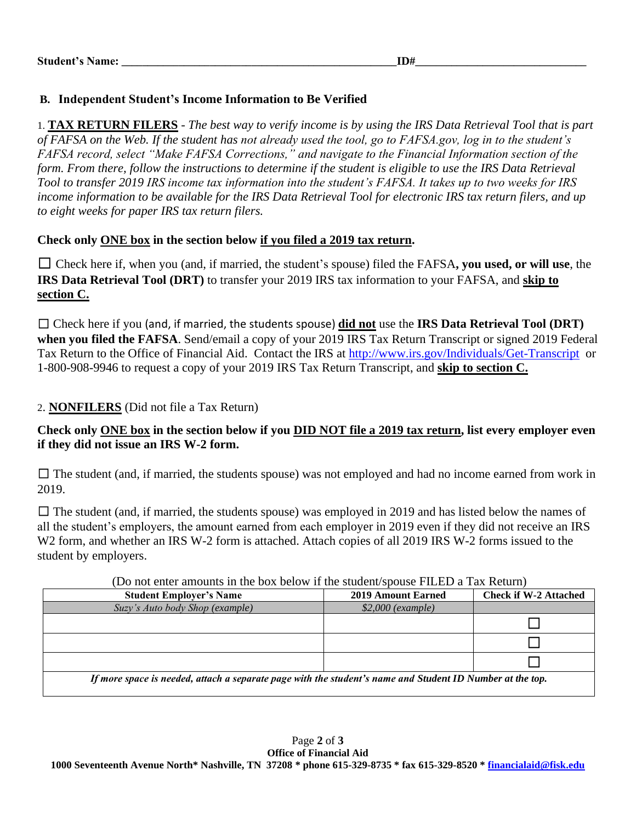### **B. Independent Student's Income Information to Be Verified**

1. **TAX RETURN FILERS** - *The best way to verify income is by using the IRS Data Retrieval Tool that is part of FAFSA on the Web. If the student has not already used the tool, go to FAFSA.gov, log in to the student's FAFSA record, select "Make FAFSA Corrections," and navigate to the Financial Information section of the form. From there, follow the instructions to determine if the student is eligible to use the IRS Data Retrieval Tool to transfer 2019 IRS income tax information into the student's FAFSA. It takes up to two weeks for IRS income information to be available for the IRS Data Retrieval Tool for electronic IRS tax return filers, and up to eight weeks for paper IRS tax return filers.*

## **Check only ONE box in the section below if you filed a 2019 tax return.**

☐ Check here if, when you (and, if married, the student's spouse) filed the FAFSA**, you used, or will use**, the **IRS Data Retrieval Tool (DRT)** to transfer your 2019 IRS tax information to your FAFSA, and **skip to section C.**

☐ Check here if you (and, if married, the students spouse) **did not** use the **IRS Data Retrieval Tool (DRT) when you filed the FAFSA**. Send/email a copy of your 2019 IRS Tax Return Transcript or signed 2019 Federal Tax Return to the Office of Financial Aid. Contact the IRS at<http://www.irs.gov/Individuals/Get-Transcript> or 1-800-908-9946 to request a copy of your 2019 IRS Tax Return Transcript, and **skip to section C.**

### 2. **NONFILERS** (Did not file a Tax Return)

### **Check only ONE box in the section below if you DID NOT file a 2019 tax return, list every employer even if they did not issue an IRS W-2 form.**

 $\Box$  The student (and, if married, the students spouse) was not employed and had no income earned from work in 2019.

 $\Box$  The student (and, if married, the students spouse) was employed in 2019 and has listed below the names of all the student's employers, the amount earned from each employer in 2019 even if they did not receive an IRS W<sub>2</sub> form, and whether an IRS W-<sub>2</sub> form is attached. Attach copies of all 2019 IRS W-<sub>2</sub> forms issued to the student by employers.

| <b>Student Employer's Name</b>                                                                            | <b>2019 Amount Earned</b> | <b>Check if W-2 Attached</b> |  |  |  |
|-----------------------------------------------------------------------------------------------------------|---------------------------|------------------------------|--|--|--|
| Suzy's Auto body Shop (example)                                                                           | $$2,000$ (example)        |                              |  |  |  |
|                                                                                                           |                           |                              |  |  |  |
|                                                                                                           |                           |                              |  |  |  |
|                                                                                                           |                           |                              |  |  |  |
| If more space is needed, attach a separate page with the student's name and Student ID Number at the top. |                           |                              |  |  |  |

#### (Do not enter amounts in the box below if the student/spouse FILED a Tax Return)